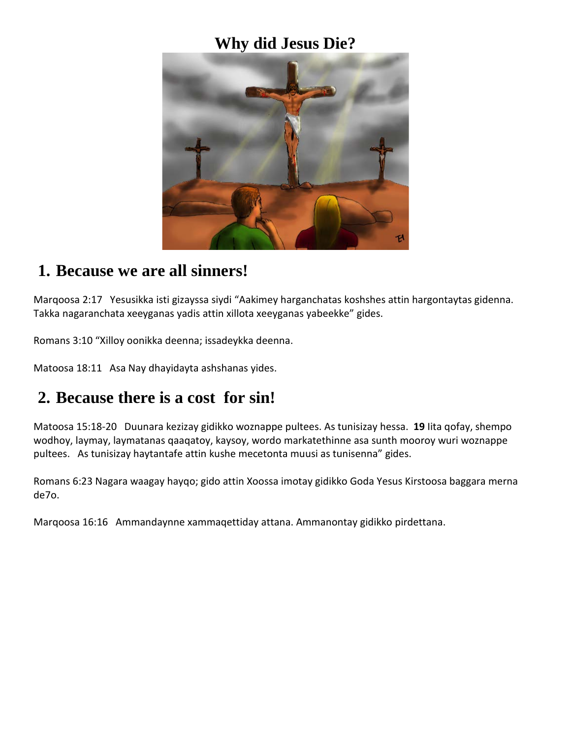### **Why did Jesus Die?**



#### **1. Because we are all sinners!**

Marqoosa 2:17 Yesusikka isti gizayssa siydi "Aakimey harganchatas koshshes attin hargontaytas gidenna. Takka nagaranchata xeeyganas yadis attin xillota xeeyganas yabeekke" gides.

Romans 3:10 "Xilloy oonikka deenna; issadeykka deenna.

Matoosa 18:11 Asa Nay dhayidayta ashshanas yides.

## **2. Because there is a cost for sin!**

Matoosa 15:18-20 Duunara kezizay gidikko woznappe pultees. As tunisizay hessa. **19** Iita qofay, shempo wodhoy, laymay, laymatanas qaaqatoy, kaysoy, wordo markatethinne asa sunth mooroy wuri woznappe pultees. As tunisizay haytantafe attin kushe mecetonta muusi as tunisenna" gides.

Romans 6:23 Nagara waagay hayqo; gido attin Xoossa imotay gidikko Goda Yesus Kirstoosa baggara merna de7o.

Marqoosa 16:16 Ammandaynne xammaqettiday attana. Ammanontay gidikko pirdettana.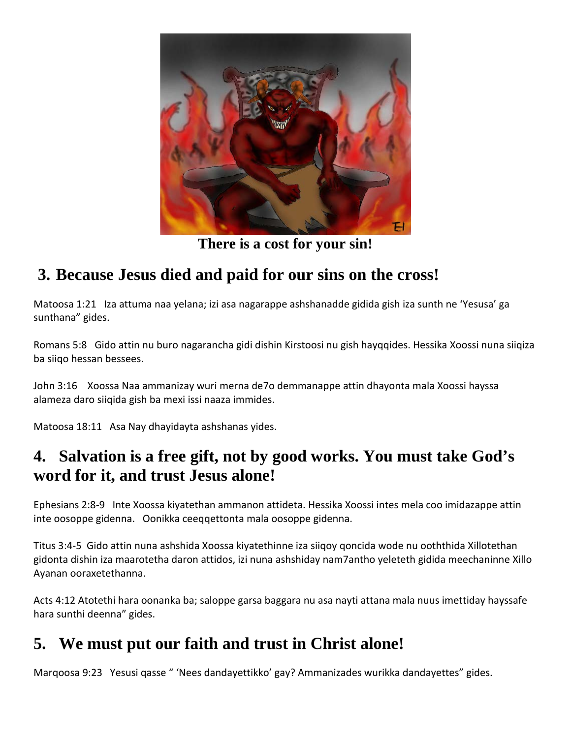

**There is a cost for your sin!**

# **3. Because Jesus died and paid for our sins on the cross!**

Matoosa 1:21 Iza attuma naa yelana; izi asa nagarappe ashshanadde gidida gish iza sunth ne 'Yesusa' ga sunthana" gides.

Romans 5:8 Gido attin nu buro nagarancha gidi dishin Kirstoosi nu gish hayqqides. Hessika Xoossi nuna siiqiza ba siiqo hessan bessees.

John 3:16 Xoossa Naa ammanizay wuri merna de7o demmanappe attin dhayonta mala Xoossi hayssa alameza daro siiqida gish ba mexi issi naaza immides.

Matoosa 18:11 Asa Nay dhayidayta ashshanas yides.

### **4. Salvation is a free gift, not by good works. You must take God's word for it, and trust Jesus alone!**

Ephesians 2:8-9 Inte Xoossa kiyatethan ammanon attideta. Hessika Xoossi intes mela coo imidazappe attin inte oosoppe gidenna. Oonikka ceeqqettonta mala oosoppe gidenna.

Titus 3:4-5 Gido attin nuna ashshida Xoossa kiyatethinne iza siiqoy qoncida wode nu ooththida Xillotethan gidonta dishin iza maarotetha daron attidos, izi nuna ashshiday nam7antho yeleteth gidida meechaninne Xillo Ayanan ooraxetethanna.

Acts 4:12 Atotethi hara oonanka ba; saloppe garsa baggara nu asa nayti attana mala nuus imettiday hayssafe hara sunthi deenna" gides.

## **5. We must put our faith and trust in Christ alone!**

Marqoosa 9:23 Yesusi qasse " 'Nees dandayettikko' gay? Ammanizades wurikka dandayettes" gides.